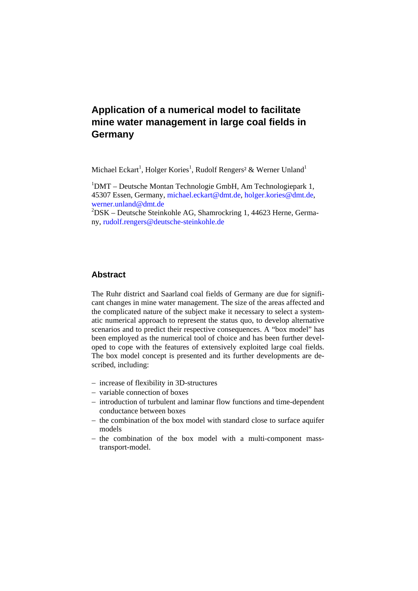# **Application of a numerical model to facilitate mine water management in large coal fields in Germany**

Michael Eckart<sup>1</sup>, Holger Kories<sup>1</sup>, Rudolf Rengers<sup>2</sup> & Werner Unland<sup>1</sup>

<sup>1</sup>DMT – Deutsche Montan Technologie GmbH, Am Technologiepark 1, 45307 Essen, Germany, michael.eckart@dmt.de, holger.kories@dmt.de, werner.unland@dmt.de

2 DSK – Deutsche Steinkohle AG, Shamrockring 1, 44623 Herne, Germany, rudolf.rengers@deutsche-steinkohle.de

## **Abstract**

The Ruhr district and Saarland coal fields of Germany are due for significant changes in mine water management. The size of the areas affected and the complicated nature of the subject make it necessary to select a systematic numerical approach to represent the status quo, to develop alternative scenarios and to predict their respective consequences. A "box model" has been employed as the numerical tool of choice and has been further developed to cope with the features of extensively exploited large coal fields. The box model concept is presented and its further developments are described, including:

- − increase of flexibility in 3D-structures
- − variable connection of boxes
- − introduction of turbulent and laminar flow functions and time-dependent conductance between boxes
- − the combination of the box model with standard close to surface aquifer models
- − the combination of the box model with a multi-component masstransport-model.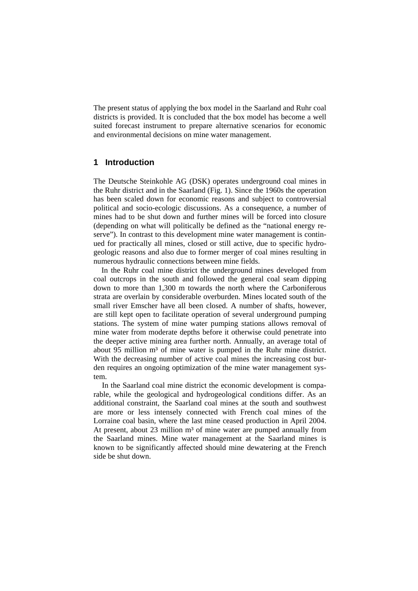The present status of applying the box model in the Saarland and Ruhr coal districts is provided. It is concluded that the box model has become a well suited forecast instrument to prepare alternative scenarios for economic and environmental decisions on mine water management.

## **1 Introduction**

The Deutsche Steinkohle AG (DSK) operates underground coal mines in the Ruhr district and in the Saarland (Fig. 1). Since the 1960s the operation has been scaled down for economic reasons and subject to controversial political and socio-ecologic discussions. As a consequence, a number of mines had to be shut down and further mines will be forced into closure (depending on what will politically be defined as the "national energy reserve"). In contrast to this development mine water management is continued for practically all mines, closed or still active, due to specific hydrogeologic reasons and also due to former merger of coal mines resulting in numerous hydraulic connections between mine fields.

In the Ruhr coal mine district the underground mines developed from coal outcrops in the south and followed the general coal seam dipping down to more than 1,300 m towards the north where the Carboniferous strata are overlain by considerable overburden. Mines located south of the small river Emscher have all been closed. A number of shafts, however, are still kept open to facilitate operation of several underground pumping stations. The system of mine water pumping stations allows removal of mine water from moderate depths before it otherwise could penetrate into the deeper active mining area further north. Annually, an average total of about 95 million m<sup>3</sup> of mine water is pumped in the Ruhr mine district. With the decreasing number of active coal mines the increasing cost burden requires an ongoing optimization of the mine water management system.

In the Saarland coal mine district the economic development is comparable, while the geological and hydrogeological conditions differ. As an additional constraint, the Saarland coal mines at the south and southwest are more or less intensely connected with French coal mines of the Lorraine coal basin, where the last mine ceased production in April 2004. At present, about  $23$  million  $m<sup>3</sup>$  of mine water are pumped annually from the Saarland mines. Mine water management at the Saarland mines is known to be significantly affected should mine dewatering at the French side be shut down.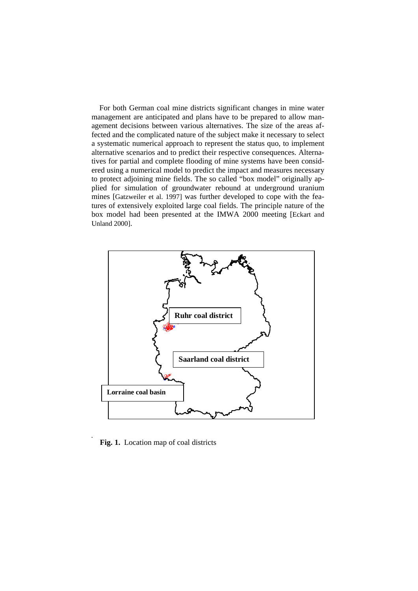For both German coal mine districts significant changes in mine water management are anticipated and plans have to be prepared to allow management decisions between various alternatives. The size of the areas affected and the complicated nature of the subject make it necessary to select a systematic numerical approach to represent the status quo, to implement alternative scenarios and to predict their respective consequences. Alternatives for partial and complete flooding of mine systems have been considered using a numerical model to predict the impact and measures necessary to protect adjoining mine fields. The so called "box model" originally applied for simulation of groundwater rebound at underground uranium mines [Gatzweiler et al. 1997] was further developed to cope with the features of extensively exploited large coal fields. The principle nature of the box model had been presented at the IMWA 2000 meeting [Eckart and Unland 2000].



**Fig. 1.** Location map of coal districts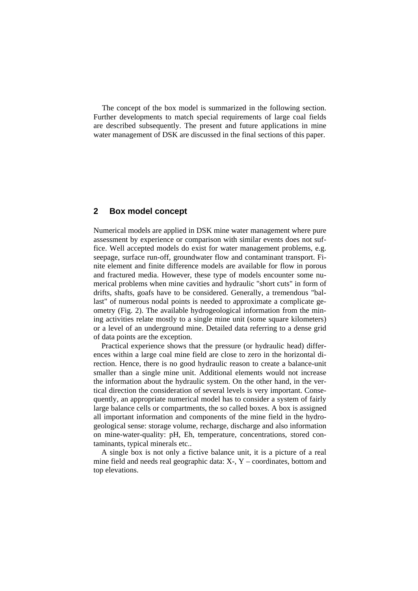The concept of the box model is summarized in the following section. Further developments to match special requirements of large coal fields are described subsequently. The present and future applications in mine water management of DSK are discussed in the final sections of this paper.

#### **2 Box model concept**

Numerical models are applied in DSK mine water management where pure assessment by experience or comparison with similar events does not suffice. Well accepted models do exist for water management problems, e.g. seepage, surface run-off, groundwater flow and contaminant transport. Finite element and finite difference models are available for flow in porous and fractured media. However, these type of models encounter some numerical problems when mine cavities and hydraulic "short cuts" in form of drifts, shafts, goafs have to be considered. Generally, a tremendous "ballast" of numerous nodal points is needed to approximate a complicate geometry (Fig. 2). The available hydrogeological information from the mining activities relate mostly to a single mine unit (some square kilometers) or a level of an underground mine. Detailed data referring to a dense grid of data points are the exception.

Practical experience shows that the pressure (or hydraulic head) differences within a large coal mine field are close to zero in the horizontal direction. Hence, there is no good hydraulic reason to create a balance-unit smaller than a single mine unit. Additional elements would not increase the information about the hydraulic system. On the other hand, in the vertical direction the consideration of several levels is very important. Consequently, an appropriate numerical model has to consider a system of fairly large balance cells or compartments, the so called boxes. A box is assigned all important information and components of the mine field in the hydrogeological sense: storage volume, recharge, discharge and also information on mine-water-quality: pH, Eh, temperature, concentrations, stored contaminants, typical minerals etc..

A single box is not only a fictive balance unit, it is a picture of a real mine field and needs real geographic data: X-, Y – coordinates, bottom and top elevations.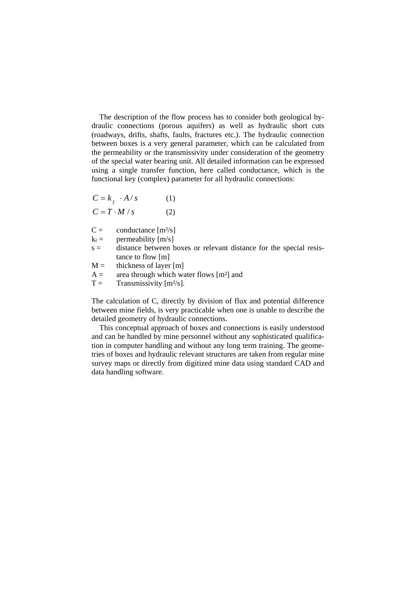The description of the flow process has to consider both geological hydraulic connections (porous aquifers) as well as hydraulic short cuts (roadways, drifts, shafts, faults, fractures etc.). The hydraulic connection between boxes is a very general parameter, which can be calculated from the permeability or the transmissivity under consideration of the geometry of the special water bearing unit. All detailed information can be expressed using a single transfer function, here called conductance, which is the functional key (complex) parameter for all hydraulic connections:

$$
C = k_f \cdot A / s \tag{1}
$$

 $C = T \cdot M / s$  (2)

 $C =$  conductance  $[m^2/s]$ 

 $k_f$  = permeability [m/s]

- $s =$  distance between boxes or relevant distance for the special resistance to flow [m]
- $M =$  thickness of layer [m]
- $A =$  area through which water flows [m<sup>2</sup>] and

 $T =$  Transmissivity  $[m^2/s]$ .

The calculation of C, directly by division of flux and potential difference between mine fields, is very practicable when one is unable to describe the detailed geometry of hydraulic connections.

This conceptual approach of boxes and connections is easily understood and can be handled by mine personnel without any sophisticated qualification in computer handling and without any long term training. The geometries of boxes and hydraulic relevant structures are taken from regular mine survey maps or directly from digitized mine data using standard CAD and data handling software.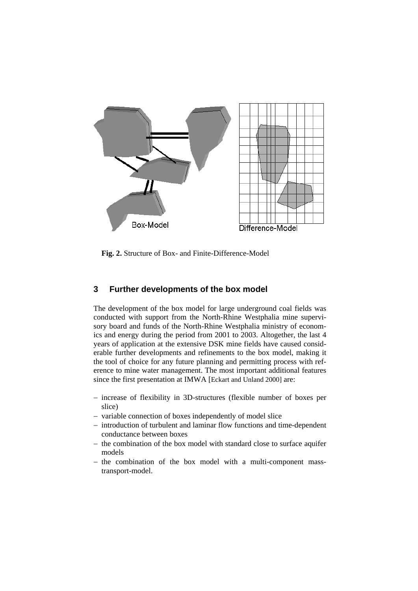

**Fig. 2.** Structure of Box- and Finite-Difference-Model

## **3 Further developments of the box model**

The development of the box model for large underground coal fields was conducted with support from the North-Rhine Westphalia mine supervisory board and funds of the North-Rhine Westphalia ministry of economics and energy during the period from 2001 to 2003. Altogether, the last 4 years of application at the extensive DSK mine fields have caused considerable further developments and refinements to the box model, making it the tool of choice for any future planning and permitting process with reference to mine water management. The most important additional features since the first presentation at IMWA [Eckart and Unland 2000] are:

- − increase of flexibility in 3D-structures (flexible number of boxes per slice)
- − variable connection of boxes independently of model slice
- − introduction of turbulent and laminar flow functions and time-dependent conductance between boxes
- − the combination of the box model with standard close to surface aquifer models
- − the combination of the box model with a multi-component masstransport-model.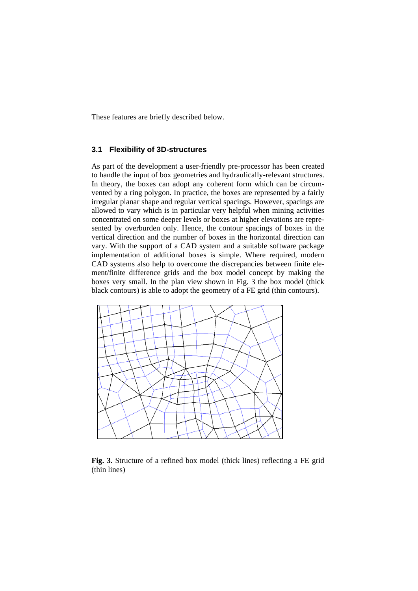These features are briefly described below.

#### **3.1 Flexibility of 3D-structures**

As part of the development a user-friendly pre-processor has been created to handle the input of box geometries and hydraulically-relevant structures. In theory, the boxes can adopt any coherent form which can be circumvented by a ring polygon. In practice, the boxes are represented by a fairly irregular planar shape and regular vertical spacings. However, spacings are allowed to vary which is in particular very helpful when mining activities concentrated on some deeper levels or boxes at higher elevations are represented by overburden only. Hence, the contour spacings of boxes in the vertical direction and the number of boxes in the horizontal direction can vary. With the support of a CAD system and a suitable software package implementation of additional boxes is simple. Where required, modern CAD systems also help to overcome the discrepancies between finite element/finite difference grids and the box model concept by making the boxes very small. In the plan view shown in Fig. 3 the box model (thick black contours) is able to adopt the geometry of a FE grid (thin contours).



**Fig. 3.** Structure of a refined box model (thick lines) reflecting a FE grid (thin lines)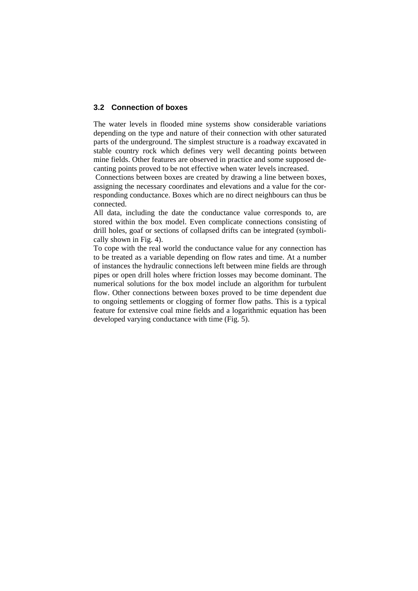#### **3.2 Connection of boxes**

The water levels in flooded mine systems show considerable variations depending on the type and nature of their connection with other saturated parts of the underground. The simplest structure is a roadway excavated in stable country rock which defines very well decanting points between mine fields. Other features are observed in practice and some supposed decanting points proved to be not effective when water levels increased.

 Connections between boxes are created by drawing a line between boxes, assigning the necessary coordinates and elevations and a value for the corresponding conductance. Boxes which are no direct neighbours can thus be connected.

All data, including the date the conductance value corresponds to, are stored within the box model. Even complicate connections consisting of drill holes, goaf or sections of collapsed drifts can be integrated (symbolically shown in Fig. 4).

To cope with the real world the conductance value for any connection has to be treated as a variable depending on flow rates and time. At a number of instances the hydraulic connections left between mine fields are through pipes or open drill holes where friction losses may become dominant. The numerical solutions for the box model include an algorithm for turbulent flow. Other connections between boxes proved to be time dependent due to ongoing settlements or clogging of former flow paths. This is a typical feature for extensive coal mine fields and a logarithmic equation has been developed varying conductance with time (Fig. 5).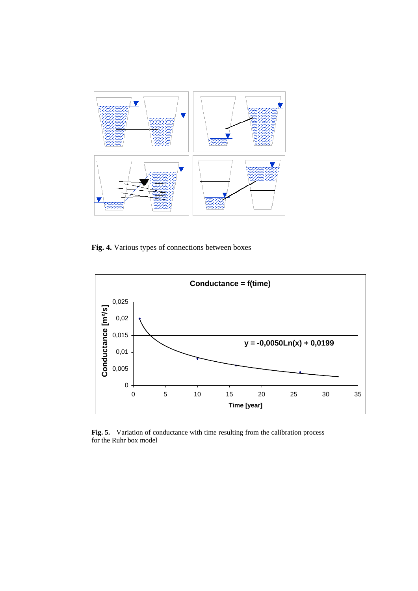

**Fig. 4.** Various types of connections between boxes



**Fig. 5.** Variation of conductance with time resulting from the calibration process for the Ruhr box model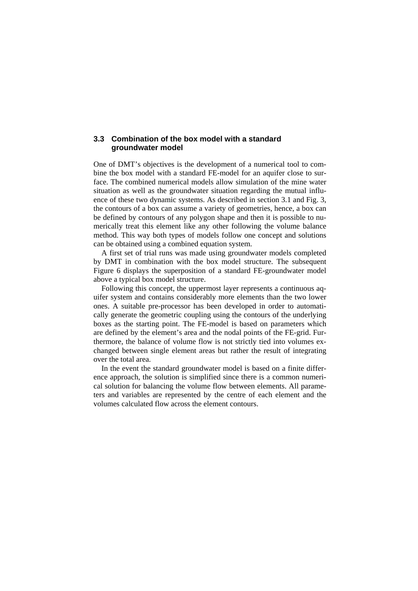#### **3.3 Combination of the box model with a standard groundwater model**

One of DMT's objectives is the development of a numerical tool to combine the box model with a standard FE-model for an aquifer close to surface. The combined numerical models allow simulation of the mine water situation as well as the groundwater situation regarding the mutual influence of these two dynamic systems. As described in section 3.1 and Fig. 3, the contours of a box can assume a variety of geometries, hence, a box can be defined by contours of any polygon shape and then it is possible to numerically treat this element like any other following the volume balance method. This way both types of models follow one concept and solutions can be obtained using a combined equation system.

A first set of trial runs was made using groundwater models completed by DMT in combination with the box model structure. The subsequent Figure 6 displays the superposition of a standard FE-groundwater model above a typical box model structure.

Following this concept, the uppermost layer represents a continuous aquifer system and contains considerably more elements than the two lower ones. A suitable pre-processor has been developed in order to automatically generate the geometric coupling using the contours of the underlying boxes as the starting point. The FE-model is based on parameters which are defined by the element's area and the nodal points of the FE-grid. Furthermore, the balance of volume flow is not strictly tied into volumes exchanged between single element areas but rather the result of integrating over the total area.

In the event the standard groundwater model is based on a finite difference approach, the solution is simplified since there is a common numerical solution for balancing the volume flow between elements. All parameters and variables are represented by the centre of each element and the volumes calculated flow across the element contours.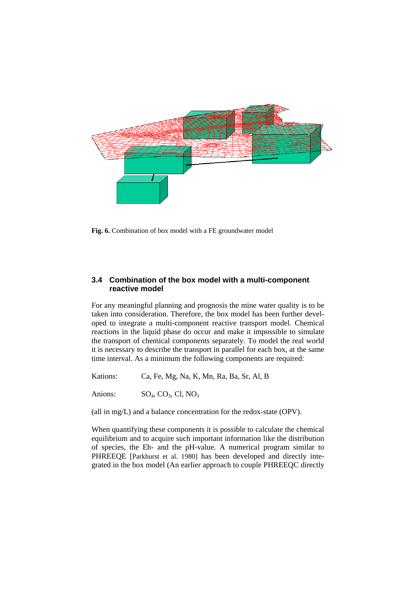

**Fig. 6.** Combination of box model with a FE groundwater model

### **3.4 Combination of the box model with a multi-component reactive model**

For any meaningful planning and prognosis the mine water quality is to be taken into consideration. Therefore, the box model has been further developed to integrate a multi-component reactive transport model. Chemical reactions in the liquid phase do occur and make it impossible to simulate the transport of chemical components separately. To model the real world it is necessary to describe the transport in parallel for each box, at the same time interval. As a minimum the following components are required:

Kations: Ca, Fe, Mg, Na, K, Mn, Ra, Ba, Sr, Al, B

Anions:  $SO_4$ ,  $CO_3$ , Cl,  $NO_3$ 

(all in mg/L) and a balance concentration for the redox-state (OPV).

When quantifying these components it is possible to calculate the chemical equilibrium and to acquire such important information like the distribution of species, the Eh- and the pH-value. A numerical program similar to PHREEQE [Parkhurst et al. 1980] has been developed and directly integrated in the box model (An earlier approach to couple PHREEQC directly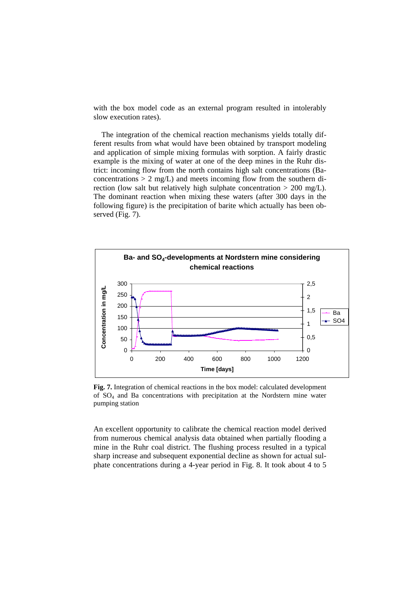with the box model code as an external program resulted in intolerably slow execution rates).

The integration of the chemical reaction mechanisms yields totally different results from what would have been obtained by transport modeling and application of simple mixing formulas with sorption. A fairly drastic example is the mixing of water at one of the deep mines in the Ruhr district: incoming flow from the north contains high salt concentrations (Baconcentrations  $> 2$  mg/L) and meets incoming flow from the southern direction (low salt but relatively high sulphate concentration > 200 mg/L). The dominant reaction when mixing these waters (after 300 days in the following figure) is the precipitation of barite which actually has been observed (Fig. 7).



**Fig. 7.** Integration of chemical reactions in the box model: calculated development of SO4 and Ba concentrations with precipitation at the Nordstern mine water pumping station

An excellent opportunity to calibrate the chemical reaction model derived from numerous chemical analysis data obtained when partially flooding a mine in the Ruhr coal district. The flushing process resulted in a typical sharp increase and subsequent exponential decline as shown for actual sulphate concentrations during a 4-year period in Fig. 8. It took about 4 to 5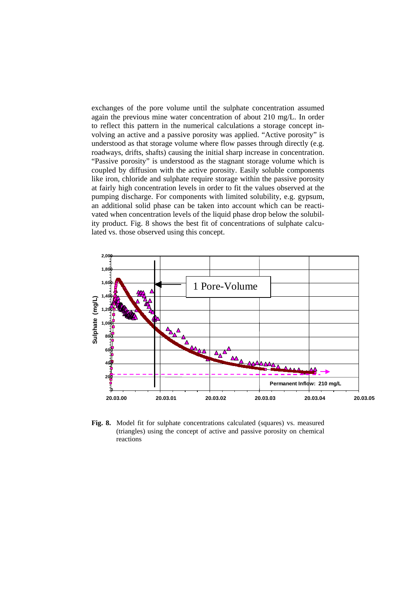exchanges of the pore volume until the sulphate concentration assumed again the previous mine water concentration of about 210 mg/L. In order to reflect this pattern in the numerical calculations a storage concept involving an active and a passive porosity was applied. "Active porosity" is understood as that storage volume where flow passes through directly (e.g. roadways, drifts, shafts) causing the initial sharp increase in concentration. "Passive porosity" is understood as the stagnant storage volume which is coupled by diffusion with the active porosity. Easily soluble components like iron, chloride and sulphate require storage within the passive porosity at fairly high concentration levels in order to fit the values observed at the pumping discharge. For components with limited solubility, e.g. gypsum, an additional solid phase can be taken into account which can be reactivated when concentration levels of the liquid phase drop below the solubility product. Fig. 8 shows the best fit of concentrations of sulphate calculated vs. those observed using this concept.



**Fig. 8.** Model fit for sulphate concentrations calculated (squares) vs. measured (triangles) using the concept of active and passive porosity on chemical reactions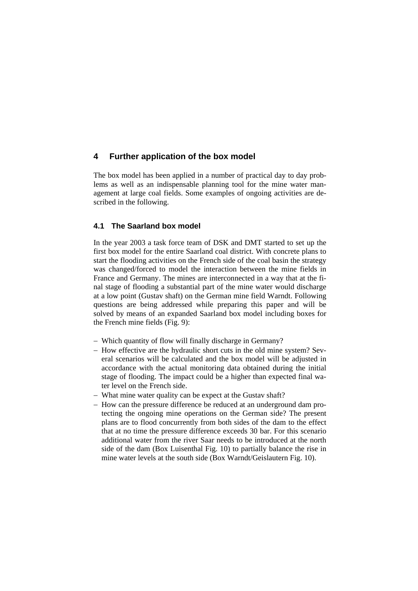## **4 Further application of the box model**

The box model has been applied in a number of practical day to day problems as well as an indispensable planning tool for the mine water management at large coal fields. Some examples of ongoing activities are described in the following.

#### **4.1 The Saarland box model**

In the year 2003 a task force team of DSK and DMT started to set up the first box model for the entire Saarland coal district. With concrete plans to start the flooding activities on the French side of the coal basin the strategy was changed/forced to model the interaction between the mine fields in France and Germany. The mines are interconnected in a way that at the final stage of flooding a substantial part of the mine water would discharge at a low point (Gustav shaft) on the German mine field Warndt. Following questions are being addressed while preparing this paper and will be solved by means of an expanded Saarland box model including boxes for the French mine fields (Fig. 9):

- − Which quantity of flow will finally discharge in Germany?
- − How effective are the hydraulic short cuts in the old mine system? Several scenarios will be calculated and the box model will be adjusted in accordance with the actual monitoring data obtained during the initial stage of flooding. The impact could be a higher than expected final water level on the French side.
- − What mine water quality can be expect at the Gustav shaft?
- − How can the pressure difference be reduced at an underground dam protecting the ongoing mine operations on the German side? The present plans are to flood concurrently from both sides of the dam to the effect that at no time the pressure difference exceeds 30 bar. For this scenario additional water from the river Saar needs to be introduced at the north side of the dam (Box Luisenthal Fig. 10) to partially balance the rise in mine water levels at the south side (Box Warndt/Geislautern Fig. 10).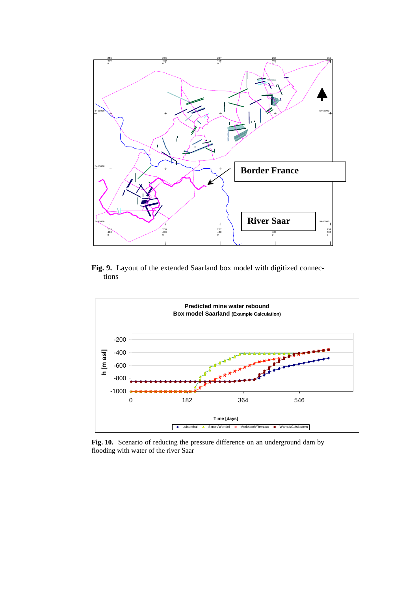

Fig. 9. Layout of the extended Saarland box model with digitized connections



**Fig. 10.** Scenario of reducing the pressure difference on an underground dam by flooding with water of the river Saar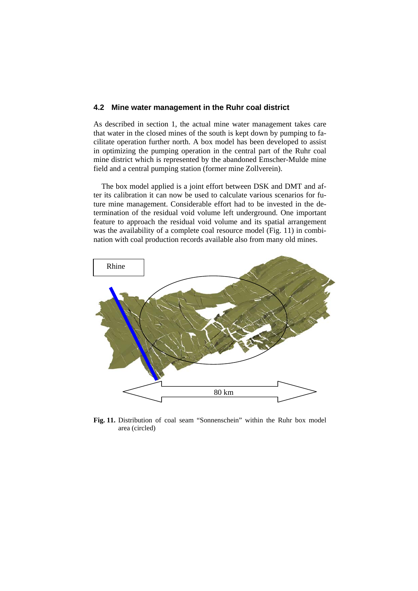#### **4.2 Mine water management in the Ruhr coal district**

As described in section 1, the actual mine water management takes care that water in the closed mines of the south is kept down by pumping to facilitate operation further north. A box model has been developed to assist in optimizing the pumping operation in the central part of the Ruhr coal mine district which is represented by the abandoned Emscher-Mulde mine field and a central pumping station (former mine Zollverein).

The box model applied is a joint effort between DSK and DMT and after its calibration it can now be used to calculate various scenarios for future mine management. Considerable effort had to be invested in the determination of the residual void volume left underground. One important feature to approach the residual void volume and its spatial arrangement was the availability of a complete coal resource model (Fig. 11) in combination with coal production records available also from many old mines.



**Fig. 11.** Distribution of coal seam "Sonnenschein" within the Ruhr box model area (circled)